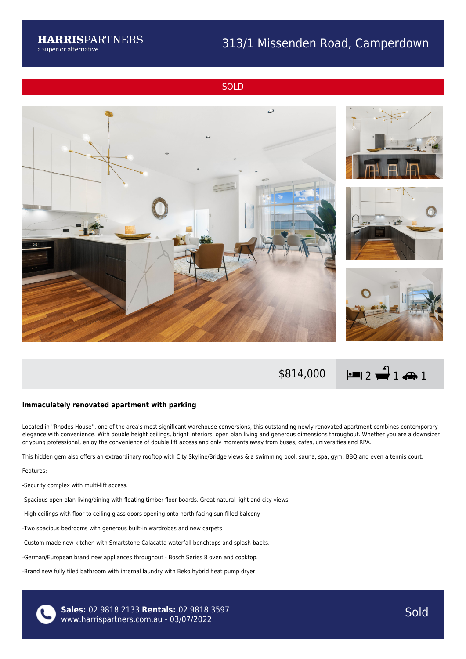## 313/1 Missenden Road, Camperdown

**SOLD** 





## **Immaculately renovated apartment with parking**

Located in "Rhodes House'', one of the area's most significant warehouse conversions, this outstanding newly renovated apartment combines contemporary elegance with convenience. With double height ceilings, bright interiors, open plan living and generous dimensions throughout. Whether you are a downsizer or young professional, enjoy the convenience of double lift access and only moments away from buses, cafes, universities and RPA.

This hidden gem also offers an extraordinary rooftop with City Skyline/Bridge views & a swimming pool, sauna, spa, gym, BBQ and even a tennis court.

Features:

-Security complex with multi-lift access.

-Spacious open plan living/dining with floating timber floor boards. Great natural light and city views.

-High ceilings with floor to ceiling glass doors opening onto north facing sun filled balcony

-Two spacious bedrooms with generous built-in wardrobes and new carpets

-Custom made new kitchen with Smartstone Calacatta waterfall benchtops and splash-backs.

-German/European brand new appliances throughout - Bosch Series 8 oven and cooktop.

-Brand new fully tiled bathroom with internal laundry with Beko hybrid heat pump dryer